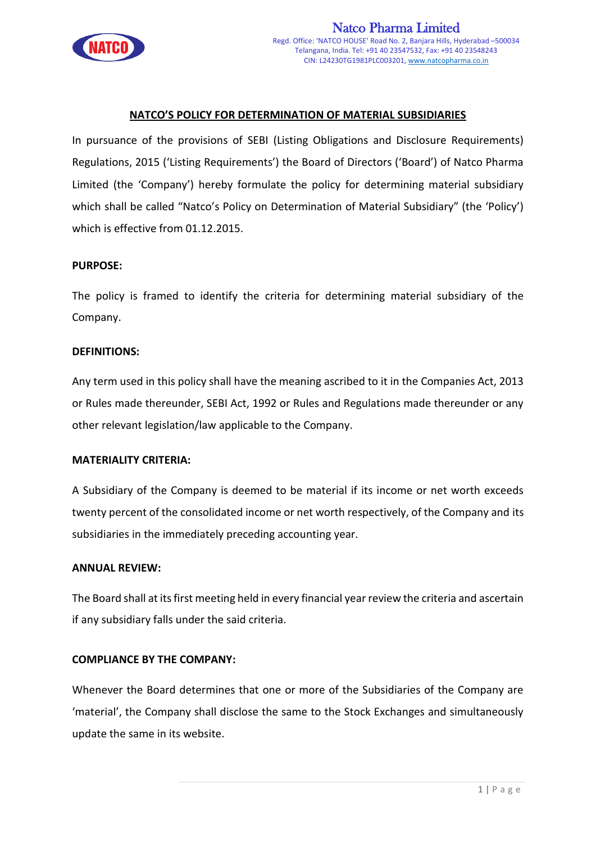

# **NATCO'S POLICY FOR DETERMINATION OF MATERIAL SUBSIDIARIES**

In pursuance of the provisions of SEBI (Listing Obligations and Disclosure Requirements) Regulations, 2015 ('Listing Requirements') the Board of Directors ('Board') of Natco Pharma Limited (the 'Company') hereby formulate the policy for determining material subsidiary which shall be called "Natco's Policy on Determination of Material Subsidiary" (the 'Policy') which is effective from 01.12.2015.

## **PURPOSE:**

The policy is framed to identify the criteria for determining material subsidiary of the Company.

#### **DEFINITIONS:**

Any term used in this policy shall have the meaning ascribed to it in the Companies Act, 2013 or Rules made thereunder, SEBI Act, 1992 or Rules and Regulations made thereunder or any other relevant legislation/law applicable to the Company.

#### **MATERIALITY CRITERIA:**

A Subsidiary of the Company is deemed to be material if its income or net worth exceeds twenty percent of the consolidated income or net worth respectively, of the Company and its subsidiaries in the immediately preceding accounting year.

#### **ANNUAL REVIEW:**

The Board shall at its first meeting held in every financial year review the criteria and ascertain if any subsidiary falls under the said criteria.

## **COMPLIANCE BY THE COMPANY:**

Whenever the Board determines that one or more of the Subsidiaries of the Company are 'material', the Company shall disclose the same to the Stock Exchanges and simultaneously update the same in its website.